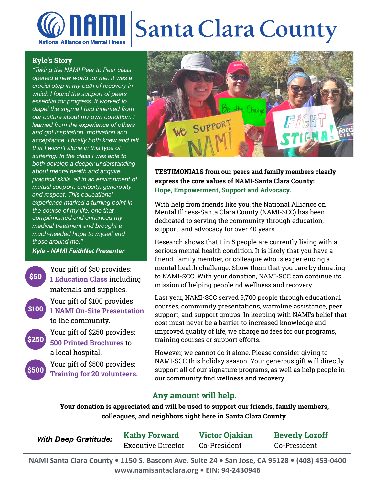## **AMI Santa Clara County National Alliance on Mental Illness**

### **Kyle's Story**

*"Taking the NAMI Peer to Peer class opened a new world for me. It was a crucial step in my path of recovery in which I found the support of peers essential for progress. It worked to dispel the stigma I had inherited from our culture about my own condition. I learned from the experience of others and got inspiration, motivation and acceptance. I finally both knew and felt that I wasn't alone in this type of suffering. In the class I was able to both develop a deeper understanding about mental health and acquire practical skills, all in an environment of mutual support, curiosity, generosity and respect. This educational experience marked a turning point in the course of my life, one that complimented and enhanced my medical treatment and brought a much-needed hope to myself and those around me."* 

*Kyle - NAMI FaithNet Presenter*

Your gift of \$50 provides: **1 Education Class** including materials and supplies. Your gift of \$100 provides: **1 NAMI On-Site Presentation** to the community. Your gift of \$250 provides: **500 Printed Brochures** to a local hospital. Your gift of \$500 provides: **\$50 \$100 \$250 \$500**

**Training for 20 volunteers.**



**TESTIMONIALS from our peers and family members clearly express the core values of NAMI-Santa Clara County: Hope, Empowerment, Support and Advocacy.** 

With help from friends like you, the National Alliance on Mental Illness-Santa Clara County (NAMI-SCC) has been dedicated to serving the community through education, support, and advocacy for over 40 years.

Research shows that 1 in 5 people are currently living with a serious mental health condition. It is likely that you have a friend, family member, or colleague who is experiencing a mental health challenge. Show them that you care by donating to NAMI-SCC. With your donation, NAMI-SCC can continue its mission of helping people nd wellness and recovery.

Last year, NAMI-SCC served 9,700 people through educational courses, community presentations, warmline assistance, peer support, and support groups. In keeping with NAMI's belief that cost must never be a barrier to increased knowledge and improved quality of life, we charge no fees for our programs, training courses or support efforts.

However, we cannot do it alone. Please consider giving to NAMI-SCC this holiday season. Your generous gift will directly support all of our signature programs, as well as help people in our community find wellness and recovery.

## **Any amount will help.**

**Your donation is appreciated and will be used to support our friends, family members, colleagues, and neighbors right here in Santa Clara County.** 

| <b>With Deep Gratitude:</b> | <b>Kathy Forward</b>      | <b>Victor Ojakian</b> | <b>Beverly Lozoff</b> |
|-----------------------------|---------------------------|-----------------------|-----------------------|
|                             | <b>Executive Director</b> | Co-President          | Co-President          |
|                             |                           |                       |                       |

**NAMI Santa Clara County . 1150 S. Bascom Ave. Suite 24 . San Jose, CA 95128 . (408) 453-0400** www.namisantaclara.org • EIN: 94-2430946